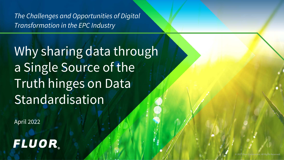*The Challenges and Opportunities of Digital Transformation in the EPC Industry*

Why sharing data through a Single Source of the Truth hinges on Data Standardisation

April 2022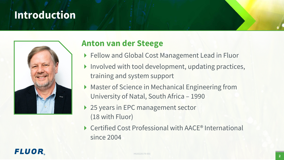# **Introduction**



## **Anton van der Steege**

- ▶ Fellow and Global Cost Management Lead in Fluor
- $\blacktriangleright$  Involved with tool development, updating practices, training and system support
- ▶ Master of Science in Mechanical Engineering from University of Natal, South Africa – 1990
- ▶ 25 years in EPC management sector (18 with Fluor)
- ▶ Certified Cost Professional with AACE<sup>®</sup> International since 2004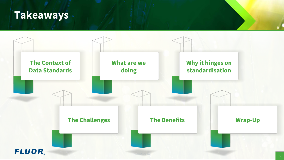## **Takeaways**

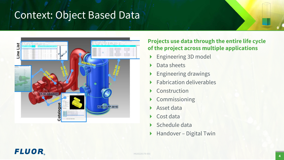# <span id="page-3-0"></span>Context: Object Based Data



### **Projects use data through the entire life cycle of the project across multiple applications**

- ▶ Engineering 3D model
- Data sheets
- **Engineering drawings**
- $\blacktriangleright$  Fabrication deliverables
- ▶ Construction
- ▶ Commissioning
- Asset data
- ▶ Cost data
- $\triangleright$  Schedule data
- ▶ Handover Digital Twin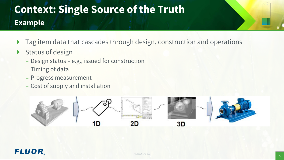# **Context: Single Source of the Truth Example**

- ▶ Tag item data that cascades through design, construction and operations
- $\triangleright$  Status of design
	- ̶Design status e.g., issued for construction
	- ̶ Timing of data
	- ̶ Progress measurement
	- ̶ Cost of supply and installation

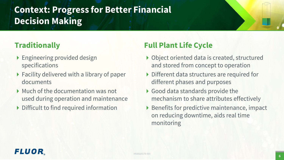## **Context: Progress for Better Financial Decision Making**

## **Traditionally**

- ▶ Engineering provided design specifications
- ▶ Facility delivered with a library of paper documents
- Much of the documentation was not used during operation and maintenance
- Difficult to find required information

## **Full Plant Life Cycle**

- ▶ Object oriented data is created, structured and stored from concept to operation
- Different data structures are required for different phases and purposes
- ▶ Good data standards provide the mechanism to share attributes effectively
- $\triangleright$  Benefits for predictive maintenance, impact on reducing downtime, aids real time monitoring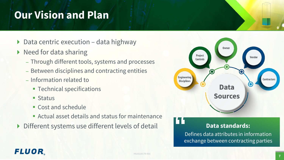# <span id="page-6-0"></span>**Our Vision and Plan**

- $\triangleright$  Data centric execution data highway
- $\triangleright$  Need for data sharing
	- ̶ Through different tools, systems and processes
	- Between disciplines and contracting entities
	- ̶ Information related to
		- **Technical specifications**
		- **Status**
		- Cost and schedule
		- Actual asset details and status for maintenance
- ▶ Different systems use different levels of detail



### **Data standards:**

Defines data attributes in information exchange between contracting parties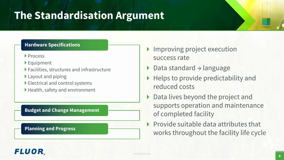# <span id="page-7-0"></span>**The Standardisation Argument**

#### **Hardware Specifications**

- **Process**
- Equipment
- Facilities, structures and infrastructure
- ▶ Layout and piping
- Electrical and control systems
- Health, safety and environment

#### **Budget and Change Management**

**Planning and Progress**

- ▶ Improving project execution success rate
- Data standard → language
- $\blacktriangleright$  Helps to provide predictability and reduced costs
- ▶ Data lives beyond the project and supports operation and maintenance of completed facility
- $\triangleright$  Provide suitable data attributes that works throughout the facility life cycle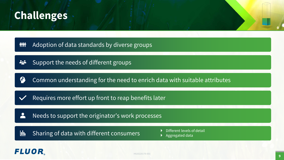# <span id="page-8-0"></span>**Challenges**

Adoption of data standards by diverse groups **iiii** 

Support the needs of different groups 222

6 Common understanding for the need to enrich data with suitable attributes

Requires more effort up front to reap benefits later

Needs to support the originator's work processes

Sharing of data with different consumers hh.

- 
- Aggregated data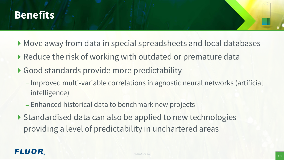# <span id="page-9-0"></span>**Benefits**

- Move away from data in special spreadsheets and local databases
- ▶ Reduce the risk of working with outdated or premature data
- ▶ Good standards provide more predictability
	- $-$  Improved multi-variable correlations in agnostic neural networks (artificial intelligence)
	- ̶Enhanced historical data to benchmark new projects
- ▶ Standardised data can also be applied to new technologies providing a level of predictability in unchartered areas